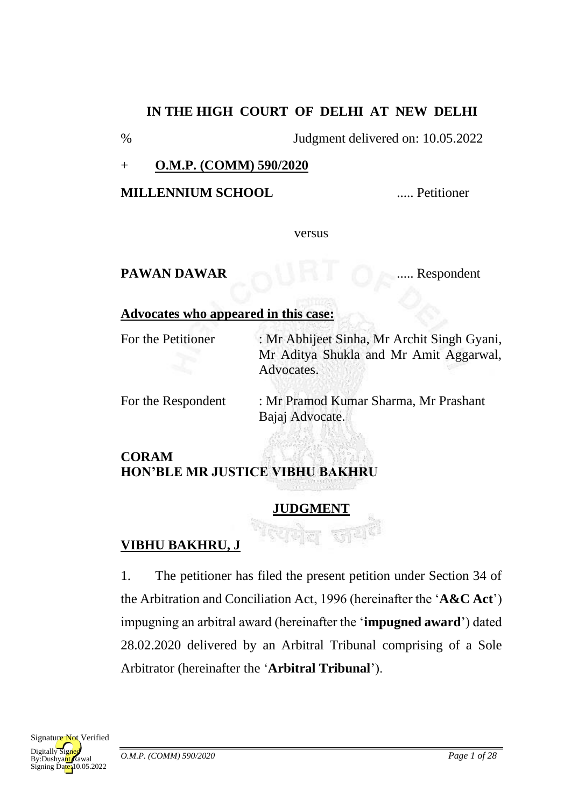#### **IN THE HIGH COURT OF DELHI AT NEW DELHI**

% Judgment delivered on: 10.05.2022

#### + **O.M.P. (COMM) 590/2020**

**MILLENNIUM SCHOOL** ..... Petitioner

versus

# PAWAN DAWAR ...... Respondent

#### **Advocates who appeared in this case:**

For the Petitioner : Mr Abhijeet Sinha, Mr Archit Singh Gyani, Mr Aditya Shukla and Mr Amit Aggarwal, Advocates.

For the Respondent : Mr Pramod Kumar Sharma, Mr Prashant Bajaj Advocate.

## **CORAM HON'BLE MR JUSTICE VIBHU BAKHRU**

#### **JUDGMENT**

# **VIBHU BAKHRU, J**

1. The petitioner has filed the present petition under Section 34 of the Arbitration and Conciliation Act, 1996 (hereinafter the '**A&C Act**') impugning an arbitral award (hereinafter the '**impugned award**') dated 28.02.2020 delivered by an Arbitral Tribunal comprising of a Sole Arbitrator (hereinafter the '**Arbitral Tribunal**').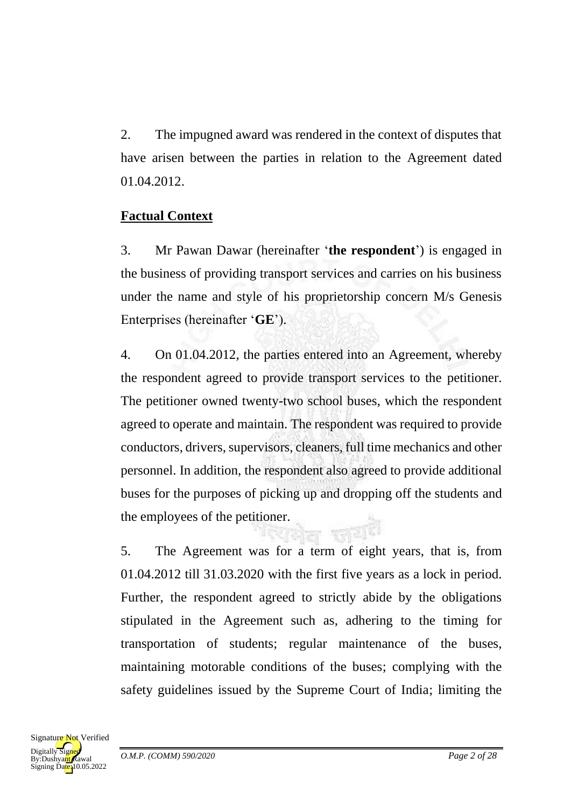2. The impugned award was rendered in the context of disputes that have arisen between the parties in relation to the Agreement dated 01.04.2012.

## **Factual Context**

3. Mr Pawan Dawar (hereinafter '**the respondent**') is engaged in the business of providing transport services and carries on his business under the name and style of his proprietorship concern M/s Genesis Enterprises (hereinafter '**GE**').

4. On 01.04.2012, the parties entered into an Agreement, whereby the respondent agreed to provide transport services to the petitioner. The petitioner owned twenty-two school buses, which the respondent agreed to operate and maintain. The respondent was required to provide conductors, drivers, supervisors, cleaners, full time mechanics and other personnel. In addition, the respondent also agreed to provide additional buses for the purposes of picking up and dropping off the students and the employees of the petitioner.

5. The Agreement was for a term of eight years, that is, from 01.04.2012 till 31.03.2020 with the first five years as a lock in period. Further, the respondent agreed to strictly abide by the obligations stipulated in the Agreement such as, adhering to the timing for transportation of students; regular maintenance of the buses, maintaining motorable conditions of the buses; complying with the safety guidelines issued by the Supreme Court of India; limiting the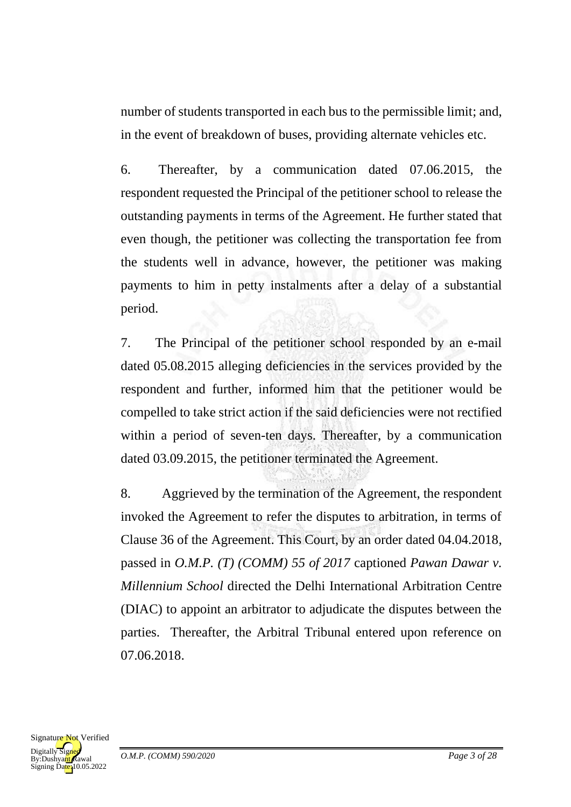number of students transported in each bus to the permissible limit; and, in the event of breakdown of buses, providing alternate vehicles etc.

6. Thereafter, by a communication dated 07.06.2015, the respondent requested the Principal of the petitioner school to release the outstanding payments in terms of the Agreement. He further stated that even though, the petitioner was collecting the transportation fee from the students well in advance, however, the petitioner was making payments to him in petty instalments after a delay of a substantial period.

7. The Principal of the petitioner school responded by an e-mail dated 05.08.2015 alleging deficiencies in the services provided by the respondent and further, informed him that the petitioner would be compelled to take strict action if the said deficiencies were not rectified within a period of seven-ten days. Thereafter, by a communication dated 03.09.2015, the petitioner terminated the Agreement.

8. Aggrieved by the termination of the Agreement, the respondent invoked the Agreement to refer the disputes to arbitration, in terms of Clause 36 of the Agreement. This Court, by an order dated 04.04.2018, passed in *O.M.P. (T) (COMM) 55 of 2017* captioned *Pawan Dawar v. Millennium School* directed the Delhi International Arbitration Centre (DIAC) to appoint an arbitrator to adjudicate the disputes between the parties. Thereafter, the Arbitral Tribunal entered upon reference on 07.06.2018.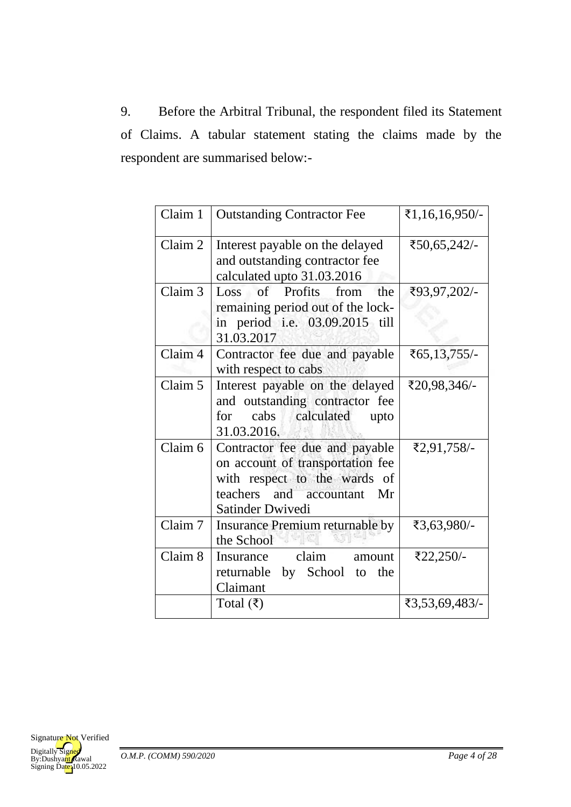9. Before the Arbitral Tribunal, the respondent filed its Statement of Claims. A tabular statement stating the claims made by the respondent are summarised below:-

| Claim 1 | <b>Outstanding Contractor Fee</b>                                                                                                                    | ₹1,16,16,950/- |
|---------|------------------------------------------------------------------------------------------------------------------------------------------------------|----------------|
| Claim 2 | Interest payable on the delayed<br>and outstanding contractor fee<br>calculated upto 31.03.2016                                                      | ₹50,65,242/-   |
| Claim 3 | Loss of Profits from<br>the<br>remaining period out of the lock-<br>in period i.e. 03.09.2015 till<br>31.03.2017                                     | ₹93,97,202/-   |
| Claim 4 | Contractor fee due and payable<br>with respect to cabs                                                                                               | ₹65,13,755/-   |
| Claim 5 | Interest payable on the delayed<br>and outstanding contractor fee<br>cabs calculated<br>for<br>upto<br>31.03.2016.                                   | ₹20,98,346/-   |
| Claim 6 | Contractor fee due and payable<br>on account of transportation fee<br>with respect to the wards of<br>teachers and accountant Mr<br>Satinder Dwivedi | ₹2,91,758/-    |
| Claim 7 | Insurance Premium returnable by<br>the School<br>73                                                                                                  | ₹3,63,980/-    |
| Claim 8 | Insurance claim amount<br>returnable by School to<br>the<br>Claimant                                                                                 | ₹22,250/-      |
|         | Total $(\bar{\tau})$                                                                                                                                 | ₹3,53,69,483/- |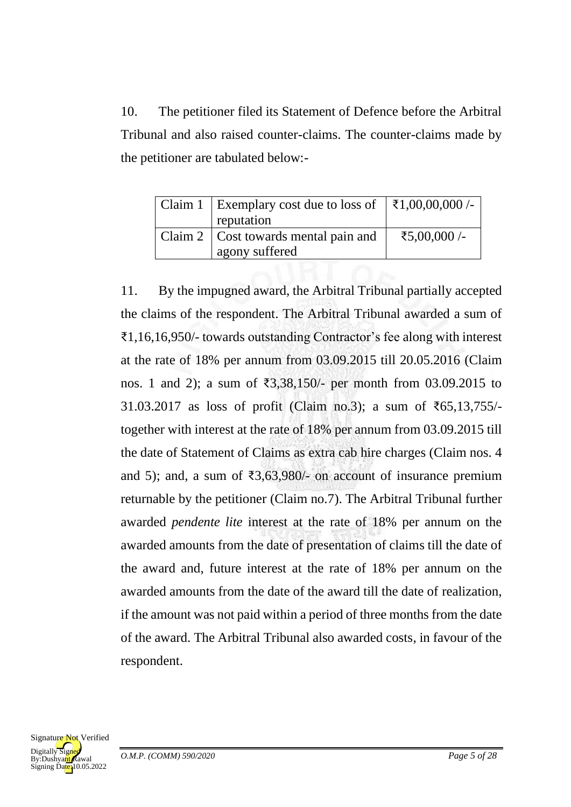10. The petitioner filed its Statement of Defence before the Arbitral Tribunal and also raised counter-claims. The counter-claims made by the petitioner are tabulated below:-

| Claim 1   Exemplary cost due to loss of $  \xi 1,00,00,000$ /- |              |
|----------------------------------------------------------------|--------------|
| reputation                                                     |              |
| Claim 2   Cost towards mental pain and                         | ₹5,00,000 /- |
| agony suffered                                                 |              |

11. By the impugned award, the Arbitral Tribunal partially accepted the claims of the respondent. The Arbitral Tribunal awarded a sum of ₹1,16,16,950/- towards outstanding Contractor's fee along with interest at the rate of 18% per annum from 03.09.2015 till 20.05.2016 (Claim nos. 1 and 2); a sum of ₹3,38,150/- per month from 03.09.2015 to 31.03.2017 as loss of profit (Claim no.3); a sum of ₹65,13,755/ together with interest at the rate of 18% per annum from 03.09.2015 till the date of Statement of Claims as extra cab hire charges (Claim nos. 4 and 5); and, a sum of  $\overline{3,63,980}$  on account of insurance premium returnable by the petitioner (Claim no.7). The Arbitral Tribunal further awarded *pendente lite* interest at the rate of 18% per annum on the awarded amounts from the date of presentation of claims till the date of the award and, future interest at the rate of 18% per annum on the awarded amounts from the date of the award till the date of realization, if the amount was not paid within a period of three months from the date of the award. The Arbitral Tribunal also awarded costs, in favour of the respondent.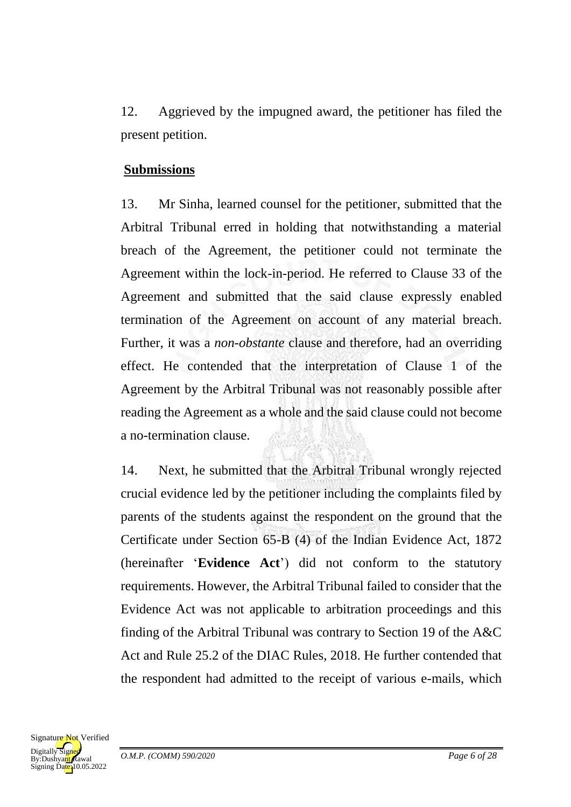12. Aggrieved by the impugned award, the petitioner has filed the present petition.

#### **Submissions**

13. Mr Sinha, learned counsel for the petitioner, submitted that the Arbitral Tribunal erred in holding that notwithstanding a material breach of the Agreement, the petitioner could not terminate the Agreement within the lock-in-period. He referred to Clause 33 of the Agreement and submitted that the said clause expressly enabled termination of the Agreement on account of any material breach. Further, it was a *non-obstante* clause and therefore, had an overriding effect. He contended that the interpretation of Clause 1 of the Agreement by the Arbitral Tribunal was not reasonably possible after reading the Agreement as a whole and the said clause could not become a no-termination clause.

14. Next, he submitted that the Arbitral Tribunal wrongly rejected crucial evidence led by the petitioner including the complaints filed by parents of the students against the respondent on the ground that the Certificate under Section 65-B (4) of the Indian Evidence Act, 1872 (hereinafter '**Evidence Act**') did not conform to the statutory requirements. However, the Arbitral Tribunal failed to consider that the Evidence Act was not applicable to arbitration proceedings and this finding of the Arbitral Tribunal was contrary to Section 19 of the A&C Act and Rule 25.2 of the DIAC Rules, 2018. He further contended that the respondent had admitted to the receipt of various e-mails, which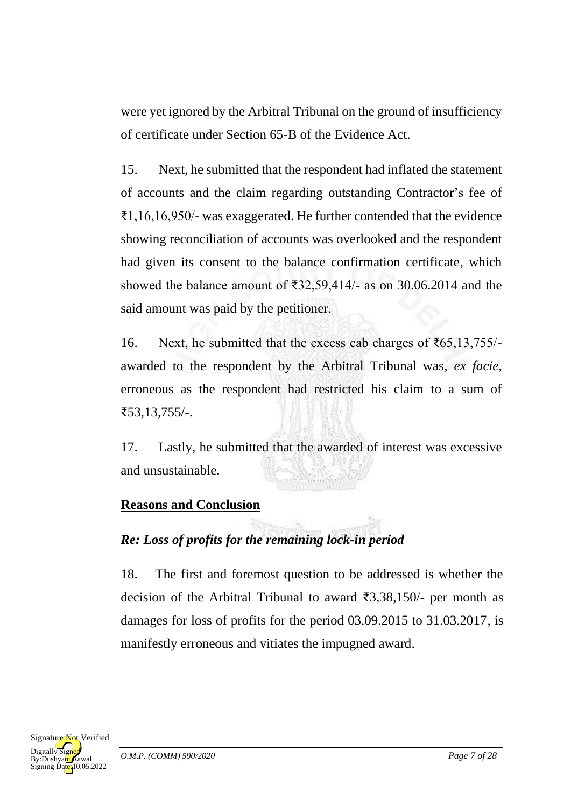were yet ignored by the Arbitral Tribunal on the ground of insufficiency of certificate under Section 65-B of the Evidence Act.

15. Next, he submitted that the respondent had inflated the statement of accounts and the claim regarding outstanding Contractor's fee of ₹1,16,16,950/- was exaggerated. He further contended that the evidence showing reconciliation of accounts was overlooked and the respondent had given its consent to the balance confirmation certificate, which showed the balance amount of ₹32,59,414/- as on 30.06.2014 and the said amount was paid by the petitioner.

16. Next, he submitted that the excess cab charges of ₹65,13,755/ awarded to the respondent by the Arbitral Tribunal was, *ex facie*, erroneous as the respondent had restricted his claim to a sum of ₹53,13,755/-.

17. Lastly, he submitted that the awarded of interest was excessive and unsustainable.

#### **Reasons and Conclusion**

# *Re: Loss of profits for the remaining lock-in period*

18. The first and foremost question to be addressed is whether the decision of the Arbitral Tribunal to award ₹3,38,150/- per month as damages for loss of profits for the period 03.09.2015 to 31.03.2017, is manifestly erroneous and vitiates the impugned award.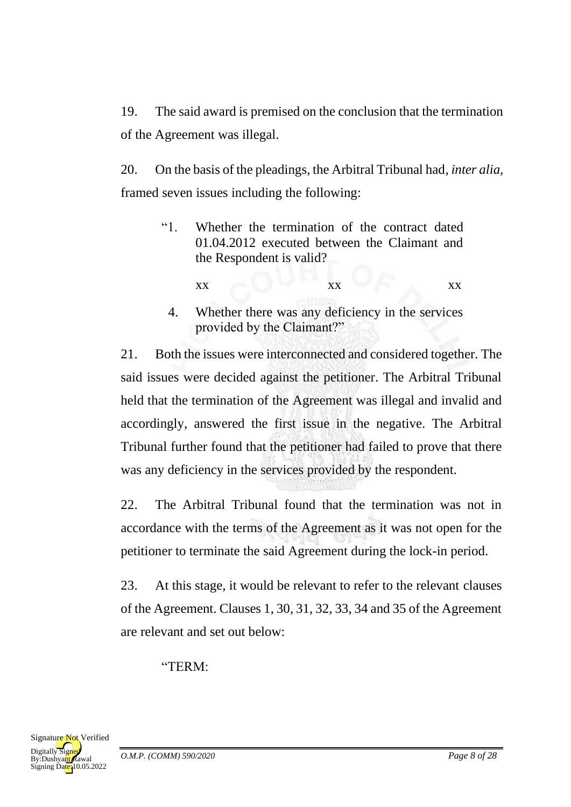19. The said award is premised on the conclusion that the termination of the Agreement was illegal.

20. On the basis of the pleadings, the Arbitral Tribunal had, *inter alia,* framed seven issues including the following:

- "1. Whether the termination of the contract dated 01.04.2012 executed between the Claimant and the Respondent is valid?
	- $\overline{\mathbf{x}}$  xx  $\overline{\mathbf{x}}$  xx
	- 4. Whether there was any deficiency in the services provided by the Claimant?"

21. Both the issues were interconnected and considered together. The said issues were decided against the petitioner. The Arbitral Tribunal held that the termination of the Agreement was illegal and invalid and accordingly, answered the first issue in the negative. The Arbitral Tribunal further found that the petitioner had failed to prove that there was any deficiency in the services provided by the respondent.

22. The Arbitral Tribunal found that the termination was not in accordance with the terms of the Agreement as it was not open for the petitioner to terminate the said Agreement during the lock-in period.

23. At this stage, it would be relevant to refer to the relevant clauses of the Agreement. Clauses 1, 30, 31, 32, 33, 34 and 35 of the Agreement are relevant and set out below:

"TERM:

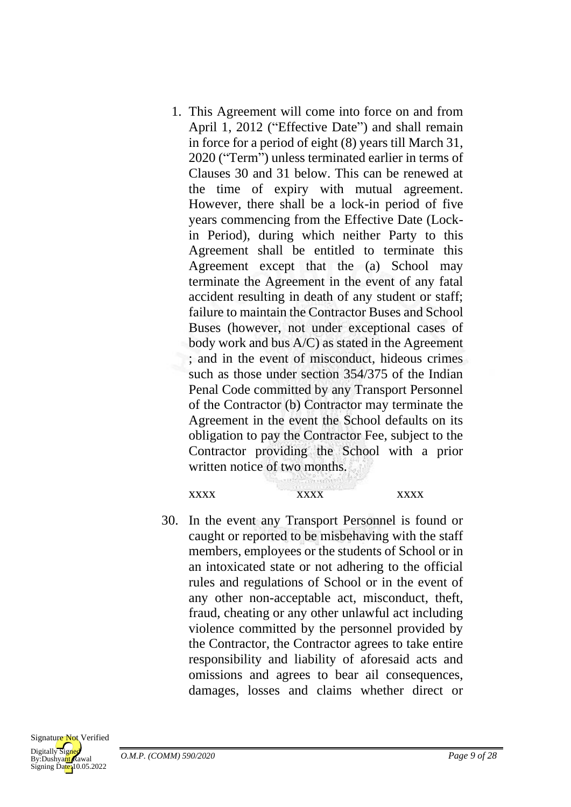1. This Agreement will come into force on and from April 1, 2012 ("Effective Date") and shall remain in force for a period of eight (8) years till March 31, 2020 ("Term") unless terminated earlier in terms of Clauses 30 and 31 below. This can be renewed at the time of expiry with mutual agreement. However, there shall be a lock-in period of five years commencing from the Effective Date (Lockin Period), during which neither Party to this Agreement shall be entitled to terminate this Agreement except that the (a) School may terminate the Agreement in the event of any fatal accident resulting in death of any student or staff; failure to maintain the Contractor Buses and School Buses (however, not under exceptional cases of body work and bus A/C) as stated in the Agreement ; and in the event of misconduct, hideous crimes such as those under section 354/375 of the Indian Penal Code committed by any Transport Personnel of the Contractor (b) Contractor may terminate the Agreement in the event the School defaults on its obligation to pay the Contractor Fee, subject to the Contractor providing the School with a prior written notice of two months.

xxxx xxxx xxxx

30. In the event any Transport Personnel is found or caught or reported to be misbehaving with the staff members, employees or the students of School or in an intoxicated state or not adhering to the official rules and regulations of School or in the event of any other non-acceptable act, misconduct, theft, fraud, cheating or any other unlawful act including violence committed by the personnel provided by the Contractor, the Contractor agrees to take entire responsibility and liability of aforesaid acts and omissions and agrees to bear ail consequences, damages, losses and claims whether direct or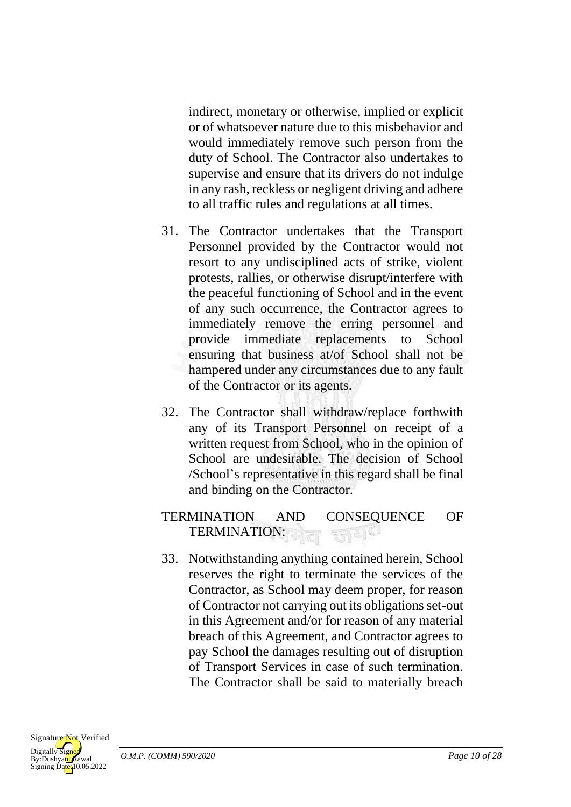indirect, monetary or otherwise, implied or explicit or of whatsoever nature due to this misbehavior and would immediately remove such person from the duty of School. The Contractor also undertakes to supervise and ensure that its drivers do not indulge in any rash, reckless or negligent driving and adhere to all traffic rules and regulations at all times.

- 31. The Contractor undertakes that the Transport Personnel provided by the Contractor would not resort to any undisciplined acts of strike, violent protests, rallies, or otherwise disrupt/interfere with the peaceful functioning of School and in the event of any such occurrence, the Contractor agrees to immediately remove the erring personnel and provide immediate replacements to School ensuring that business at/of School shall not be hampered under any circumstances due to any fault of the Contractor or its agents.
- 32. The Contractor shall withdraw/replace forthwith any of its Transport Personnel on receipt of a written request from School, who in the opinion of School are undesirable. The decision of School /School's representative in this regard shall be final and binding on the Contractor.

#### TERMINATION AND CONSEQUENCE OF TERMINATION: 재리학

33. Notwithstanding anything contained herein, School reserves the right to terminate the services of the Contractor, as School may deem proper, for reason of Contractor not carrying out its obligations set-out in this Agreement and/or for reason of any material breach of this Agreement, and Contractor agrees to pay School the damages resulting out of disruption of Transport Services in case of such termination. The Contractor shall be said to materially breach

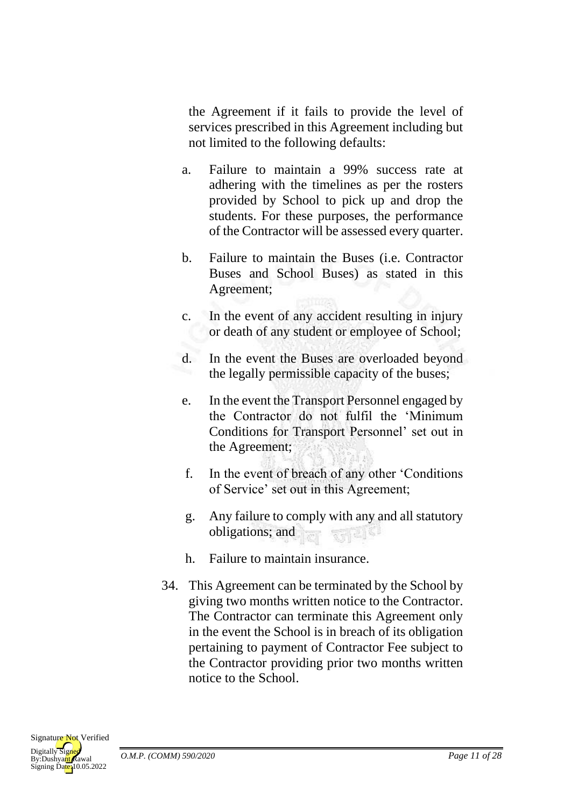the Agreement if it fails to provide the level of services prescribed in this Agreement including but not limited to the following defaults:

- a. Failure to maintain a 99% success rate at adhering with the timelines as per the rosters provided by School to pick up and drop the students. For these purposes, the performance of the Contractor will be assessed every quarter.
- b. Failure to maintain the Buses (i.e. Contractor Buses and School Buses) as stated in this Agreement;
- c. In the event of any accident resulting in injury or death of any student or employee of School;
- d. In the event the Buses are overloaded beyond the legally permissible capacity of the buses;
- e. In the event the Transport Personnel engaged by the Contractor do not fulfil the 'Minimum Conditions for Transport Personnel' set out in the Agreement;
- f. In the event of breach of any other 'Conditions of Service' set out in this Agreement;
- g. Any failure to comply with any and all statutory obligations; and
- h. Failure to maintain insurance.
- 34. This Agreement can be terminated by the School by giving two months written notice to the Contractor. The Contractor can terminate this Agreement only in the event the School is in breach of its obligation pertaining to payment of Contractor Fee subject to the Contractor providing prior two months written notice to the School.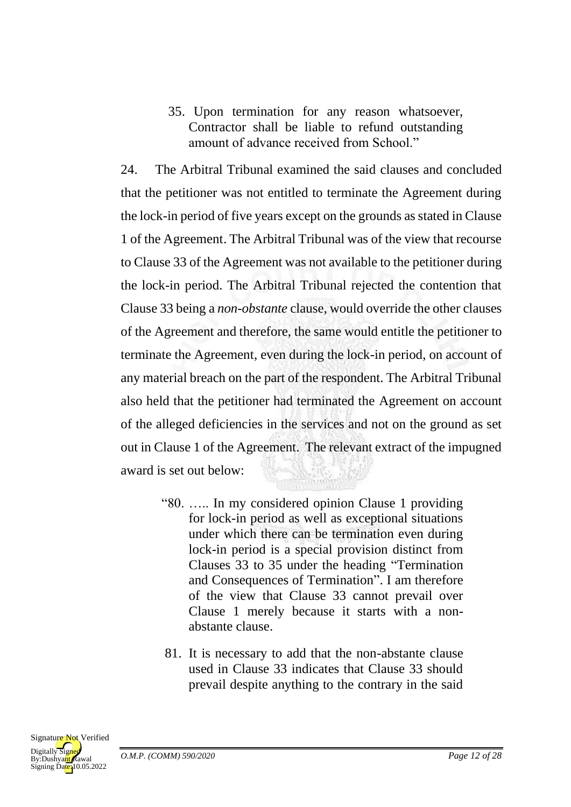35. Upon termination for any reason whatsoever, Contractor shall be liable to refund outstanding amount of advance received from School."

24. The Arbitral Tribunal examined the said clauses and concluded that the petitioner was not entitled to terminate the Agreement during the lock-in period of five years except on the grounds as stated in Clause 1 of the Agreement. The Arbitral Tribunal was of the view that recourse to Clause 33 of the Agreement was not available to the petitioner during the lock-in period. The Arbitral Tribunal rejected the contention that Clause 33 being a *non-obstante* clause, would override the other clauses of the Agreement and therefore, the same would entitle the petitioner to terminate the Agreement, even during the lock-in period, on account of any material breach on the part of the respondent. The Arbitral Tribunal also held that the petitioner had terminated the Agreement on account of the alleged deficiencies in the services and not on the ground as set out in Clause 1 of the Agreement. The relevant extract of the impugned award is set out below:

- "80. ….. In my considered opinion Clause 1 providing for lock-in period as well as exceptional situations under which there can be termination even during lock-in period is a special provision distinct from Clauses 33 to 35 under the heading "Termination and Consequences of Termination". I am therefore of the view that Clause 33 cannot prevail over Clause 1 merely because it starts with a nonabstante clause.
- 81. It is necessary to add that the non-abstante clause used in Clause 33 indicates that Clause 33 should prevail despite anything to the contrary in the said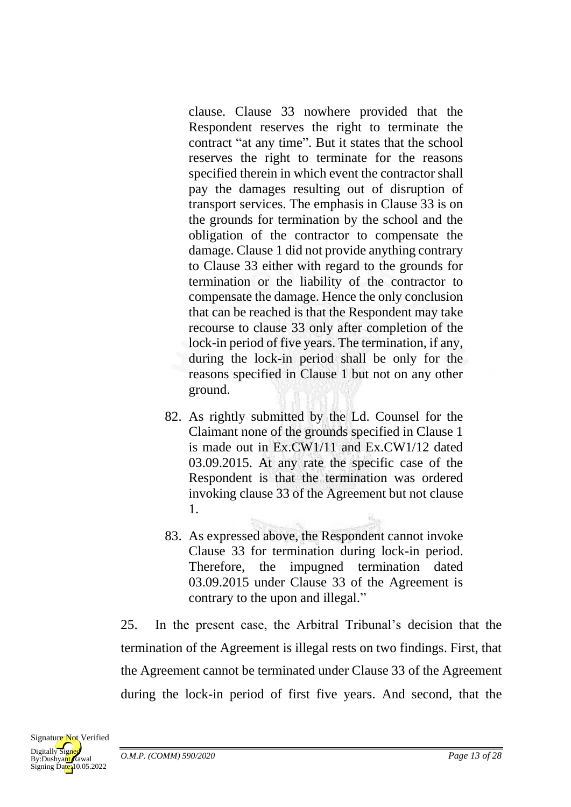clause. Clause 33 nowhere provided that the Respondent reserves the right to terminate the contract "at any time". But it states that the school reserves the right to terminate for the reasons specified therein in which event the contractor shall pay the damages resulting out of disruption of transport services. The emphasis in Clause 33 is on the grounds for termination by the school and the obligation of the contractor to compensate the damage. Clause 1 did not provide anything contrary to Clause 33 either with regard to the grounds for termination or the liability of the contractor to compensate the damage. Hence the only conclusion that can be reached is that the Respondent may take recourse to clause 33 only after completion of the lock-in period of five years. The termination, if any, during the lock-in period shall be only for the reasons specified in Clause 1 but not on any other ground.

- 82. As rightly submitted by the Ld. Counsel for the Claimant none of the grounds specified in Clause 1 is made out in Ex.CW1/11 and Ex.CW1/12 dated 03.09.2015. At any rate the specific case of the Respondent is that the termination was ordered invoking clause 33 of the Agreement but not clause 1.
- 83. As expressed above, the Respondent cannot invoke Clause 33 for termination during lock-in period. Therefore, the impugned termination dated 03.09.2015 under Clause 33 of the Agreement is contrary to the upon and illegal."

25. In the present case, the Arbitral Tribunal's decision that the termination of the Agreement is illegal rests on two findings. First, that the Agreement cannot be terminated under Clause 33 of the Agreement during the lock-in period of first five years. And second, that the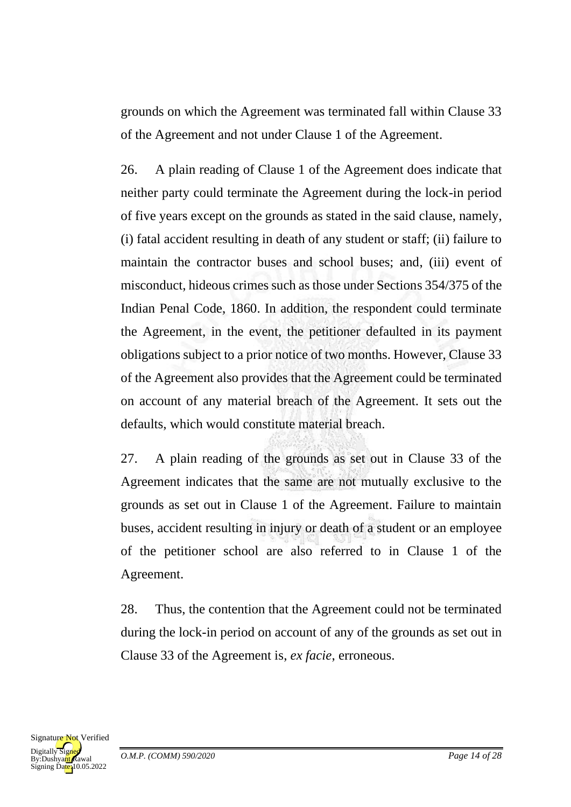grounds on which the Agreement was terminated fall within Clause 33 of the Agreement and not under Clause 1 of the Agreement.

26. A plain reading of Clause 1 of the Agreement does indicate that neither party could terminate the Agreement during the lock-in period of five years except on the grounds as stated in the said clause, namely, (i) fatal accident resulting in death of any student or staff; (ii) failure to maintain the contractor buses and school buses; and, (iii) event of misconduct, hideous crimes such as those under Sections 354/375 of the Indian Penal Code, 1860. In addition, the respondent could terminate the Agreement, in the event, the petitioner defaulted in its payment obligations subject to a prior notice of two months. However, Clause 33 of the Agreement also provides that the Agreement could be terminated on account of any material breach of the Agreement. It sets out the defaults, which would constitute material breach.

27. A plain reading of the grounds as set out in Clause 33 of the Agreement indicates that the same are not mutually exclusive to the grounds as set out in Clause 1 of the Agreement. Failure to maintain buses, accident resulting in injury or death of a student or an employee of the petitioner school are also referred to in Clause 1 of the Agreement.

28. Thus, the contention that the Agreement could not be terminated during the lock-in period on account of any of the grounds as set out in Clause 33 of the Agreement is, *ex facie*, erroneous.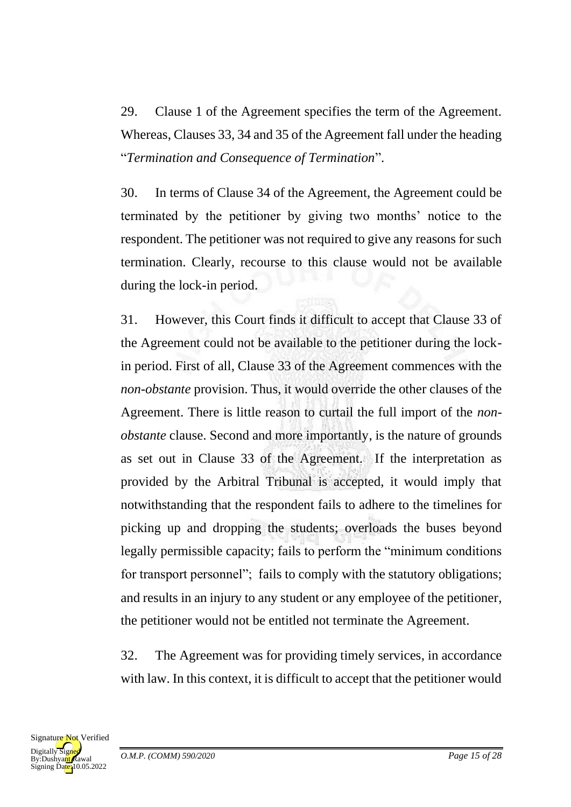29. Clause 1 of the Agreement specifies the term of the Agreement. Whereas, Clauses 33, 34 and 35 of the Agreement fall under the heading "*Termination and Consequence of Termination*".

30. In terms of Clause 34 of the Agreement, the Agreement could be terminated by the petitioner by giving two months' notice to the respondent. The petitioner was not required to give any reasons for such termination. Clearly, recourse to this clause would not be available during the lock-in period.

31. However, this Court finds it difficult to accept that Clause 33 of the Agreement could not be available to the petitioner during the lockin period. First of all, Clause 33 of the Agreement commences with the *non-obstante* provision. Thus, it would override the other clauses of the Agreement. There is little reason to curtail the full import of the *nonobstante* clause. Second and more importantly, is the nature of grounds as set out in Clause 33 of the Agreement. If the interpretation as provided by the Arbitral Tribunal is accepted, it would imply that notwithstanding that the respondent fails to adhere to the timelines for picking up and dropping the students; overloads the buses beyond legally permissible capacity; fails to perform the "minimum conditions for transport personnel"; fails to comply with the statutory obligations; and results in an injury to any student or any employee of the petitioner, the petitioner would not be entitled not terminate the Agreement.

32. The Agreement was for providing timely services, in accordance with law. In this context, it is difficult to accept that the petitioner would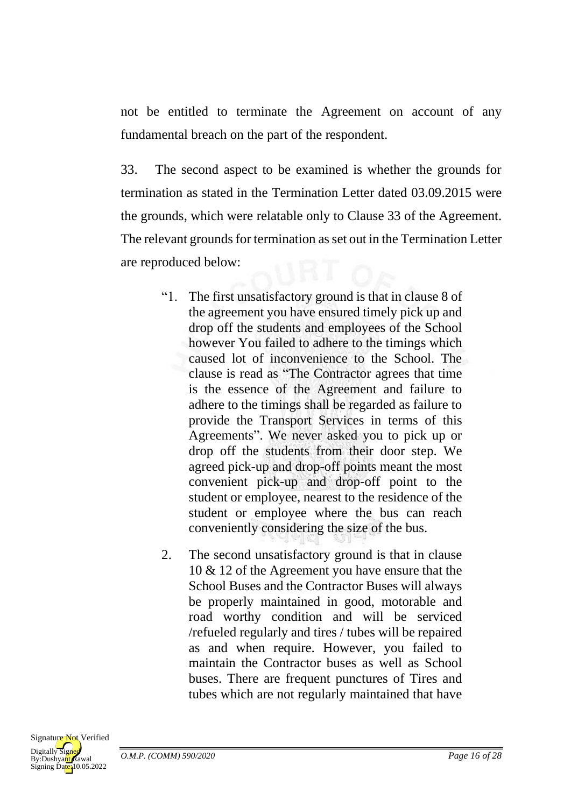not be entitled to terminate the Agreement on account of any fundamental breach on the part of the respondent.

33. The second aspect to be examined is whether the grounds for termination as stated in the Termination Letter dated 03.09.2015 were the grounds, which were relatable only to Clause 33 of the Agreement. The relevant grounds for termination as set out in the Termination Letter are reproduced below:

- "1. The first unsatisfactory ground is that in clause 8 of the agreement you have ensured timely pick up and drop off the students and employees of the School however You failed to adhere to the timings which caused lot of inconvenience to the School. The clause is read as "The Contractor agrees that time is the essence of the Agreement and failure to adhere to the timings shall be regarded as failure to provide the Transport Services in terms of this Agreements". We never asked you to pick up or drop off the students from their door step. We agreed pick-up and drop-off points meant the most convenient pick-up and drop-off point to the student or employee, nearest to the residence of the student or employee where the bus can reach conveniently considering the size of the bus.
- 2. The second unsatisfactory ground is that in clause 10 & 12 of the Agreement you have ensure that the School Buses and the Contractor Buses will always be properly maintained in good, motorable and road worthy condition and will be serviced /refueled regularly and tires / tubes will be repaired as and when require. However, you failed to maintain the Contractor buses as well as School buses. There are frequent punctures of Tires and tubes which are not regularly maintained that have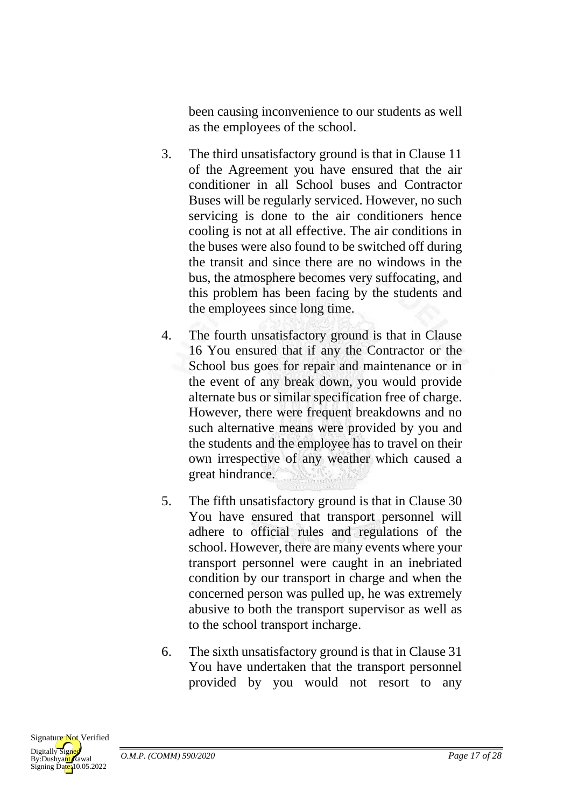been causing inconvenience to our students as well as the employees of the school.

- 3. The third unsatisfactory ground is that in Clause 11 of the Agreement you have ensured that the air conditioner in all School buses and Contractor Buses will be regularly serviced. However, no such servicing is done to the air conditioners hence cooling is not at all effective. The air conditions in the buses were also found to be switched off during the transit and since there are no windows in the bus, the atmosphere becomes very suffocating, and this problem has been facing by the students and the employees since long time.
- 4. The fourth unsatisfactory ground is that in Clause 16 You ensured that if any the Contractor or the School bus goes for repair and maintenance or in the event of any break down, you would provide alternate bus or similar specification free of charge. However, there were frequent breakdowns and no such alternative means were provided by you and the students and the employee has to travel on their own irrespective of any weather which caused a great hindrance.
- 5. The fifth unsatisfactory ground is that in Clause 30 You have ensured that transport personnel will adhere to official rules and regulations of the school. However, there are many events where your transport personnel were caught in an inebriated condition by our transport in charge and when the concerned person was pulled up, he was extremely abusive to both the transport supervisor as well as to the school transport incharge.
- 6. The sixth unsatisfactory ground is that in Clause 31 You have undertaken that the transport personnel provided by you would not resort to any

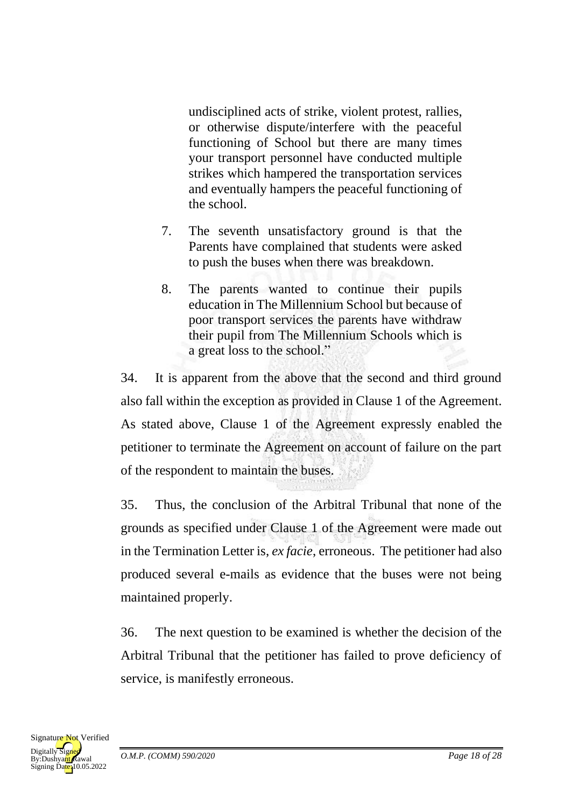undisciplined acts of strike, violent protest, rallies, or otherwise dispute/interfere with the peaceful functioning of School but there are many times your transport personnel have conducted multiple strikes which hampered the transportation services and eventually hampers the peaceful functioning of the school.

- 7. The seventh unsatisfactory ground is that the Parents have complained that students were asked to push the buses when there was breakdown.
- 8. The parents wanted to continue their pupils education in The Millennium School but because of poor transport services the parents have withdraw their pupil from The Millennium Schools which is a great loss to the school."

34. It is apparent from the above that the second and third ground also fall within the exception as provided in Clause 1 of the Agreement. As stated above, Clause 1 of the Agreement expressly enabled the petitioner to terminate the Agreement on account of failure on the part of the respondent to maintain the buses.

35. Thus, the conclusion of the Arbitral Tribunal that none of the grounds as specified under Clause 1 of the Agreement were made out in the Termination Letter is, *ex facie*, erroneous. The petitioner had also produced several e-mails as evidence that the buses were not being maintained properly.

36. The next question to be examined is whether the decision of the Arbitral Tribunal that the petitioner has failed to prove deficiency of service, is manifestly erroneous.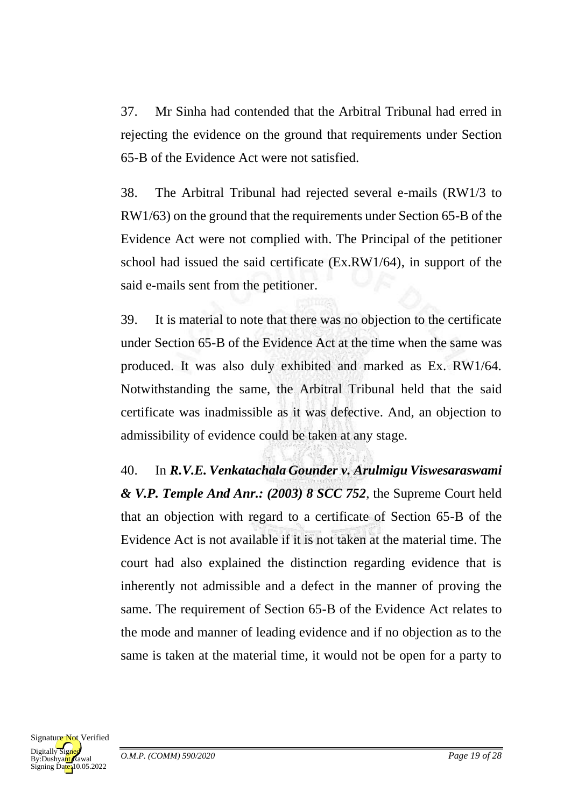37. Mr Sinha had contended that the Arbitral Tribunal had erred in rejecting the evidence on the ground that requirements under Section 65-B of the Evidence Act were not satisfied.

38. The Arbitral Tribunal had rejected several e-mails (RW1/3 to RW1/63) on the ground that the requirements under Section 65-B of the Evidence Act were not complied with. The Principal of the petitioner school had issued the said certificate (Ex.RW1/64), in support of the said e-mails sent from the petitioner.

39. It is material to note that there was no objection to the certificate under Section 65-B of the Evidence Act at the time when the same was produced. It was also duly exhibited and marked as Ex. RW1/64. Notwithstanding the same, the Arbitral Tribunal held that the said certificate was inadmissible as it was defective. And, an objection to admissibility of evidence could be taken at any stage.

40. In *R.V.E. Venkatachala Gounder v. Arulmigu Viswesaraswami & V.P. Temple And Anr.: (2003) 8 SCC 752*, the Supreme Court held that an objection with regard to a certificate of Section 65-B of the Evidence Act is not available if it is not taken at the material time. The court had also explained the distinction regarding evidence that is inherently not admissible and a defect in the manner of proving the same. The requirement of Section 65-B of the Evidence Act relates to the mode and manner of leading evidence and if no objection as to the same is taken at the material time, it would not be open for a party to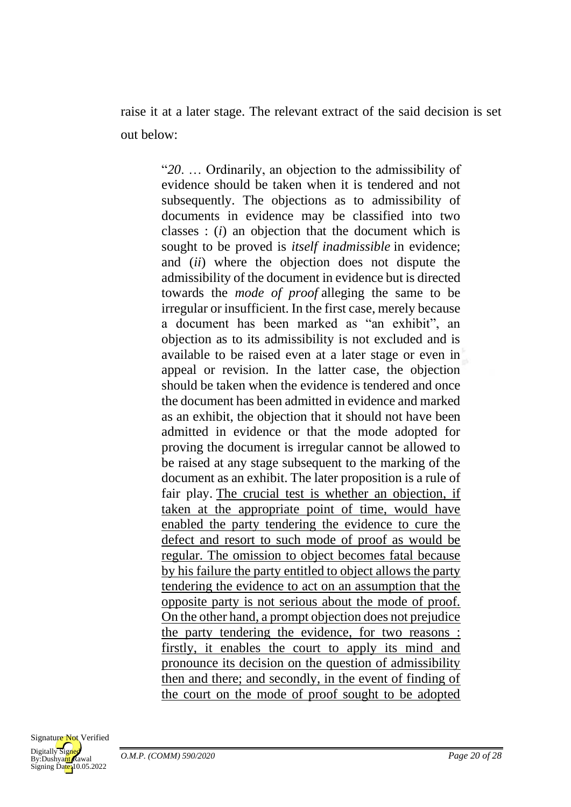raise it at a later stage. The relevant extract of the said decision is set out below:

> "*20*. … Ordinarily, an objection to the admissibility of evidence should be taken when it is tendered and not subsequently. The objections as to admissibility of documents in evidence may be classified into two classes : (*i*) an objection that the document which is sought to be proved is *itself inadmissible* in evidence; and (*ii*) where the objection does not dispute the admissibility of the document in evidence but is directed towards the *mode of proof* alleging the same to be irregular or insufficient. In the first case, merely because a document has been marked as "an exhibit", an objection as to its admissibility is not excluded and is available to be raised even at a later stage or even in appeal or revision. In the latter case, the objection should be taken when the evidence is tendered and once the document has been admitted in evidence and marked as an exhibit, the objection that it should not have been admitted in evidence or that the mode adopted for proving the document is irregular cannot be allowed to be raised at any stage subsequent to the marking of the document as an exhibit. The later proposition is a rule of fair play. The crucial test is whether an objection, if taken at the appropriate point of time, would have enabled the party tendering the evidence to cure the defect and resort to such mode of proof as would be regular. The omission to object becomes fatal because by his failure the party entitled to object allows the party tendering the evidence to act on an assumption that the opposite party is not serious about the mode of proof. On the other hand, a prompt objection does not prejudice the party tendering the evidence, for two reasons : firstly, it enables the court to apply its mind and pronounce its decision on the question of admissibility then and there; and secondly, in the event of finding of the court on the mode of proof sought to be adopted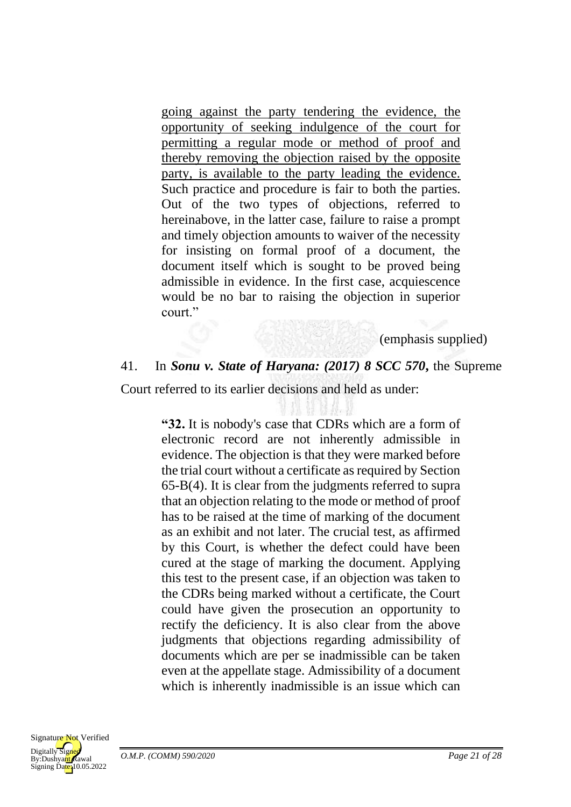going against the party tendering the evidence, the opportunity of seeking indulgence of the court for permitting a regular mode or method of proof and thereby removing the objection raised by the opposite party, is available to the party leading the evidence. Such practice and procedure is fair to both the parties. Out of the two types of objections, referred to hereinabove, in the latter case, failure to raise a prompt and timely objection amounts to waiver of the necessity for insisting on formal proof of a document, the document itself which is sought to be proved being admissible in evidence. In the first case, acquiescence would be no bar to raising the objection in superior court."

(emphasis supplied)

#### 41. In *Sonu v. State of Haryana: (2017) 8 SCC 570***,** the Supreme

Court referred to its earlier decisions and held as under:

**"32.** It is nobody's case that CDRs which are a form of electronic record are not inherently admissible in evidence. The objection is that they were marked before the trial court without a certificate as required by Section 65-B(4). It is clear from the judgments referred to supra that an objection relating to the mode or method of proof has to be raised at the time of marking of the document as an exhibit and not later. The crucial test, as affirmed by this Court, is whether the defect could have been cured at the stage of marking the document. Applying this test to the present case, if an objection was taken to the CDRs being marked without a certificate, the Court could have given the prosecution an opportunity to rectify the deficiency. It is also clear from the above judgments that objections regarding admissibility of documents which are per se inadmissible can be taken even at the appellate stage. Admissibility of a document which is inherently inadmissible is an issue which can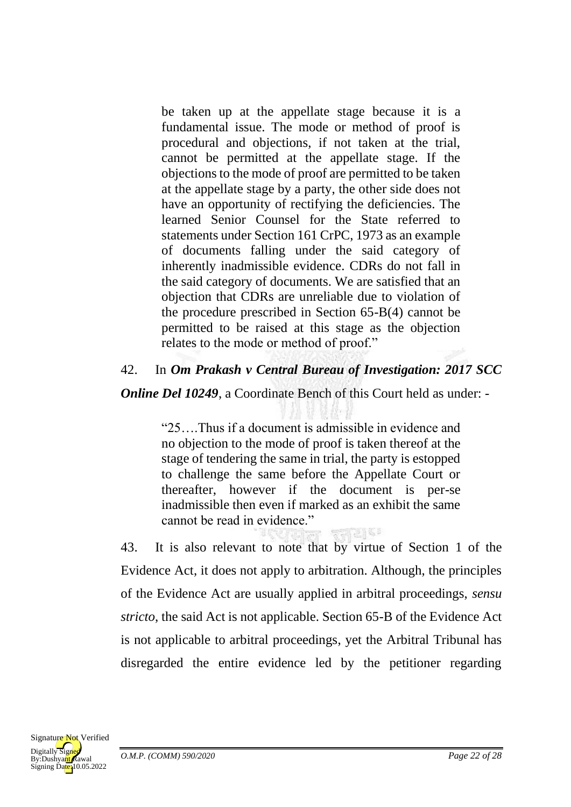be taken up at the appellate stage because it is a fundamental issue. The mode or method of proof is procedural and objections, if not taken at the trial, cannot be permitted at the appellate stage. If the objections to the mode of proof are permitted to be taken at the appellate stage by a party, the other side does not have an opportunity of rectifying the deficiencies. The learned Senior Counsel for the State referred to statements under Section 161 CrPC, 1973 as an example of documents falling under the said category of inherently inadmissible evidence. CDRs do not fall in the said category of documents. We are satisfied that an objection that CDRs are unreliable due to violation of the procedure prescribed in Section 65-B(4) cannot be permitted to be raised at this stage as the objection relates to the mode or method of proof."

# 42. In *Om Prakash v Central Bureau of Investigation: 2017 SCC*

*Online Del 10249, a Coordinate Bench of this Court held as under: -*

"25….Thus if a document is admissible in evidence and no objection to the mode of proof is taken thereof at the stage of tendering the same in trial, the party is estopped to challenge the same before the Appellate Court or thereafter, however if the document is per-se inadmissible then even if marked as an exhibit the same cannot be read in evidence."

43. It is also relevant to note that by virtue of Section 1 of the Evidence Act, it does not apply to arbitration. Although, the principles of the Evidence Act are usually applied in arbitral proceedings, *sensu stricto*, the said Act is not applicable. Section 65-B of the Evidence Act is not applicable to arbitral proceedings, yet the Arbitral Tribunal has disregarded the entire evidence led by the petitioner regarding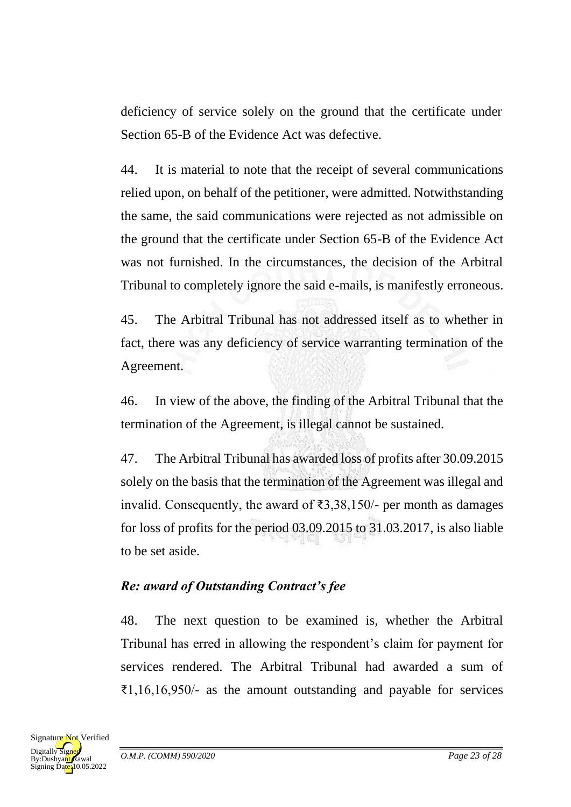deficiency of service solely on the ground that the certificate under Section 65-B of the Evidence Act was defective.

44. It is material to note that the receipt of several communications relied upon, on behalf of the petitioner, were admitted. Notwithstanding the same, the said communications were rejected as not admissible on the ground that the certificate under Section 65-B of the Evidence Act was not furnished. In the circumstances, the decision of the Arbitral Tribunal to completely ignore the said e-mails, is manifestly erroneous.

45. The Arbitral Tribunal has not addressed itself as to whether in fact, there was any deficiency of service warranting termination of the Agreement.

46. In view of the above, the finding of the Arbitral Tribunal that the termination of the Agreement, is illegal cannot be sustained.

47. The Arbitral Tribunal has awarded loss of profits after 30.09.2015 solely on the basis that the termination of the Agreement was illegal and invalid. Consequently, the award of ₹3,38,150/- per month as damages for loss of profits for the period 03.09.2015 to 31.03.2017, is also liable to be set aside.

# *Re: award of Outstanding Contract's fee*

48. The next question to be examined is, whether the Arbitral Tribunal has erred in allowing the respondent's claim for payment for services rendered. The Arbitral Tribunal had awarded a sum of ₹1,16,16,950/- as the amount outstanding and payable for services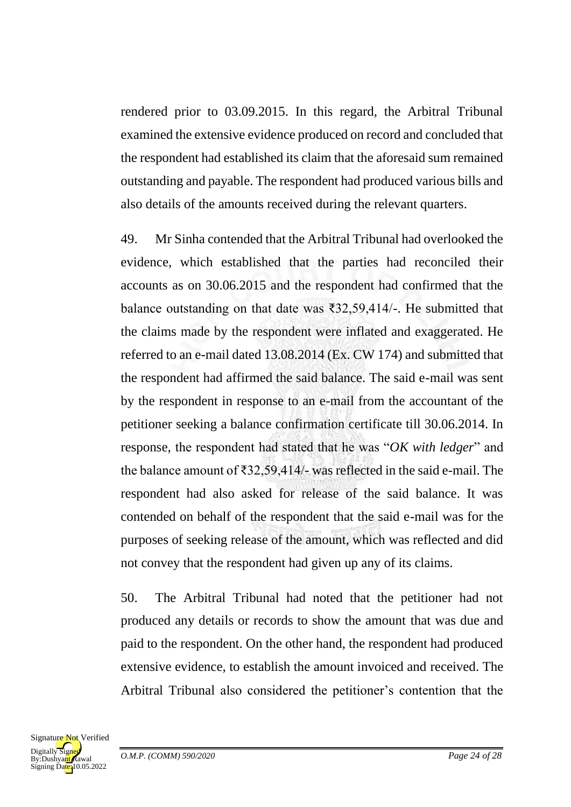rendered prior to 03.09.2015. In this regard, the Arbitral Tribunal examined the extensive evidence produced on record and concluded that the respondent had established its claim that the aforesaid sum remained outstanding and payable. The respondent had produced various bills and also details of the amounts received during the relevant quarters.

49. Mr Sinha contended that the Arbitral Tribunal had overlooked the evidence, which established that the parties had reconciled their accounts as on 30.06.2015 and the respondent had confirmed that the balance outstanding on that date was ₹32,59,414/-. He submitted that the claims made by the respondent were inflated and exaggerated. He referred to an e-mail dated 13.08.2014 (Ex. CW 174) and submitted that the respondent had affirmed the said balance. The said e-mail was sent by the respondent in response to an e-mail from the accountant of the petitioner seeking a balance confirmation certificate till 30.06.2014. In response, the respondent had stated that he was "*OK with ledger*" and the balance amount of ₹32,59,414/- was reflected in the said e-mail. The respondent had also asked for release of the said balance. It was contended on behalf of the respondent that the said e-mail was for the purposes of seeking release of the amount, which was reflected and did not convey that the respondent had given up any of its claims.

50. The Arbitral Tribunal had noted that the petitioner had not produced any details or records to show the amount that was due and paid to the respondent. On the other hand, the respondent had produced extensive evidence, to establish the amount invoiced and received. The Arbitral Tribunal also considered the petitioner's contention that the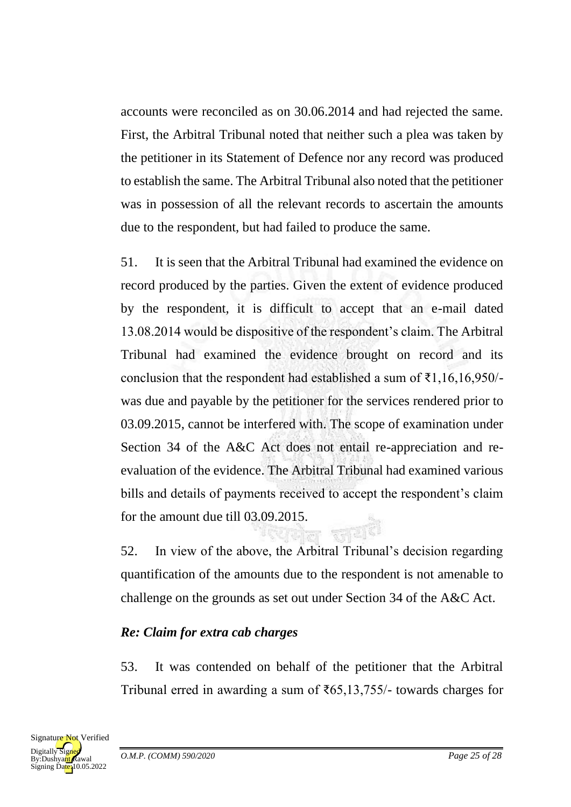accounts were reconciled as on 30.06.2014 and had rejected the same. First, the Arbitral Tribunal noted that neither such a plea was taken by the petitioner in its Statement of Defence nor any record was produced to establish the same. The Arbitral Tribunal also noted that the petitioner was in possession of all the relevant records to ascertain the amounts due to the respondent, but had failed to produce the same.

51. It is seen that the Arbitral Tribunal had examined the evidence on record produced by the parties. Given the extent of evidence produced by the respondent, it is difficult to accept that an e-mail dated 13.08.2014 would be dispositive of the respondent's claim. The Arbitral Tribunal had examined the evidence brought on record and its conclusion that the respondent had established a sum of  $\bar{\tau}$ 1,16,16,950/was due and payable by the petitioner for the services rendered prior to 03.09.2015, cannot be interfered with. The scope of examination under Section 34 of the A&C Act does not entail re-appreciation and reevaluation of the evidence. The Arbitral Tribunal had examined various bills and details of payments received to accept the respondent's claim for the amount due till 03.09.2015.

52. In view of the above, the Arbitral Tribunal's decision regarding quantification of the amounts due to the respondent is not amenable to challenge on the grounds as set out under Section 34 of the A&C Act.

# *Re: Claim for extra cab charges*

53. It was contended on behalf of the petitioner that the Arbitral Tribunal erred in awarding a sum of ₹65,13,755/- towards charges for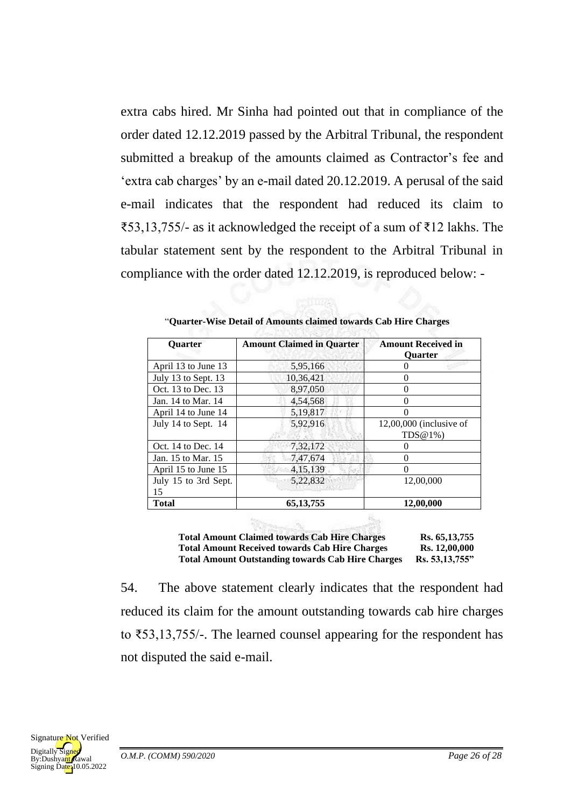extra cabs hired. Mr Sinha had pointed out that in compliance of the order dated 12.12.2019 passed by the Arbitral Tribunal, the respondent submitted a breakup of the amounts claimed as Contractor's fee and 'extra cab charges' by an e-mail dated 20.12.2019. A perusal of the said e-mail indicates that the respondent had reduced its claim to ₹53,13,755/- as it acknowledged the receipt of a sum of ₹12 lakhs. The tabular statement sent by the respondent to the Arbitral Tribunal in compliance with the order dated 12.12.2019, is reproduced below: -

| <b>Ouarter</b>             | <b>Amount Claimed in Quarter</b> | <b>Amount Received in</b><br><b>Ouarter</b> |
|----------------------------|----------------------------------|---------------------------------------------|
| April 13 to June 13        | 5,95,166                         |                                             |
| July 13 to Sept. 13        | 10,36,421                        |                                             |
| Oct. 13 to Dec. 13         | 8,97,050                         | 0                                           |
| Jan. 14 to Mar. 14         | 4,54,568                         |                                             |
| April 14 to June 14        | 5,19,817                         |                                             |
| July 14 to Sept. 14        | 5,92,916                         | $12,00,000$ (inclusive of<br>$TDS@1\%$      |
| Oct. 14 to Dec. 14         | 7,32,172                         |                                             |
| Jan. 15 to Mar. 15         | 7,47,674                         |                                             |
| April 15 to June 15        | 4, 15, 139                       |                                             |
| July 15 to 3rd Sept.<br>15 | 5,22,832                         | 12,00,000                                   |
| <b>Total</b>               | 65, 13, 755                      | 12,00,000                                   |

| "Quarter-Wise Detail of Amounts claimed towards Cab Hire Charges |  |  |
|------------------------------------------------------------------|--|--|
|------------------------------------------------------------------|--|--|

**Total Amount Claimed towards Cab Hire Charges Rs. 65,13,755 Total Amount Received towards Cab Hire Charges Rs. 12,00,000 Total Amount Outstanding towards Cab Hire Charges Rs. 53,13,755"**

54. The above statement clearly indicates that the respondent had reduced its claim for the amount outstanding towards cab hire charges to ₹53,13,755/-. The learned counsel appearing for the respondent has not disputed the said e-mail.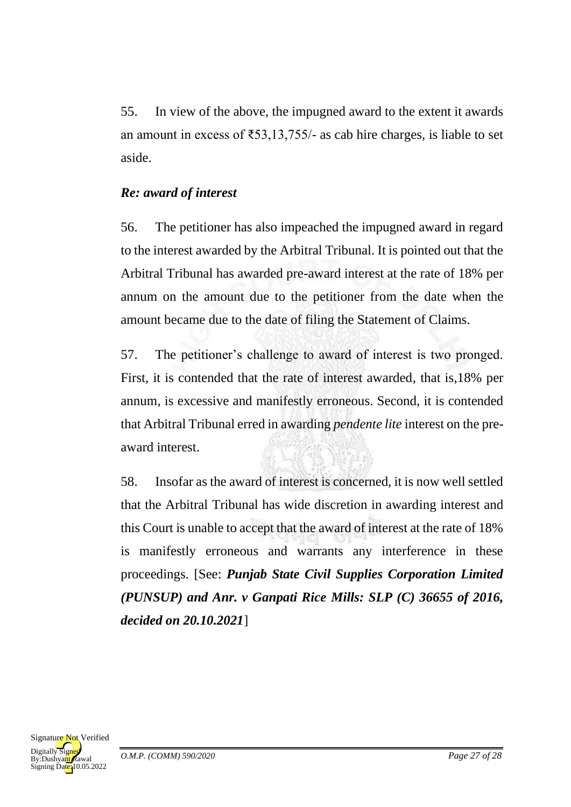55. In view of the above, the impugned award to the extent it awards an amount in excess of  $\text{\textless}53,13,755/-$  as cab hire charges, is liable to set aside.

#### *Re: award of interest*

56. The petitioner has also impeached the impugned award in regard to the interest awarded by the Arbitral Tribunal. It is pointed out that the Arbitral Tribunal has awarded pre-award interest at the rate of 18% per annum on the amount due to the petitioner from the date when the amount became due to the date of filing the Statement of Claims.

57. The petitioner's challenge to award of interest is two pronged. First, it is contended that the rate of interest awarded, that is,18% per annum, is excessive and manifestly erroneous. Second, it is contended that Arbitral Tribunal erred in awarding *pendente lite* interest on the preaward interest.

58. Insofar as the award of interest is concerned, it is now well settled that the Arbitral Tribunal has wide discretion in awarding interest and this Court is unable to accept that the award of interest at the rate of 18% is manifestly erroneous and warrants any interference in these proceedings. [See: *Punjab State Civil Supplies Corporation Limited (PUNSUP) and Anr. v Ganpati Rice Mills: SLP (C) 36655 of 2016, decided on 20.10.2021*]